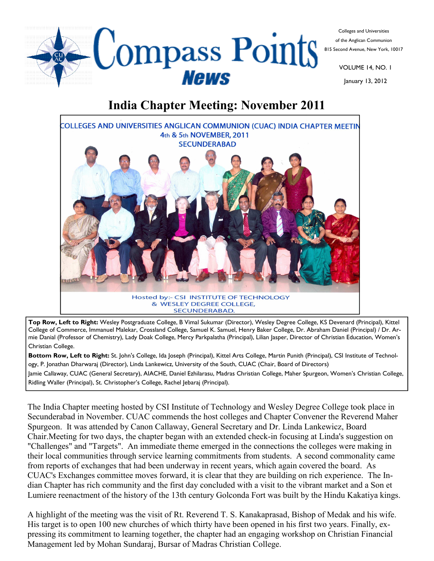

Colleges and Universities of the Anglican Communion 815 Second Avenue, New York, 10017

> January 13, 2012 VOLUME 14, NO. 1

### **India Chapter Meeting: November 2011**



**Top Row, Left to Right:** Wesley Postgraduate College, B Vimal Sukumar (Director), Wesley Degree College, KS Devenard (Principal), Kittel College of Commerce, Immanuel Malekar, Crossland College, Samuel K. Samuel, Henry Baker College, Dr. Abraham Daniel (Principal) / Dr. Armie Danial (Professor of Chemistry), Lady Doak College, Mercy Parkpalatha (Principal), Lilian Jasper, Director of Christian Education, Women's Christian College.

**Bottom Row, Left to Right:** St. John's College, Ida Joseph (Principal), Kittel Arts College, Martin Punith (Principal), CSI Institute of Technology, P. Jonathan Dharwaraj (Director), Linda Lankewicz, University of the South, CUAC (Chair, Board of Directors) Jamie Callaway, CUAC (General Secretary), AIACHE, Daniel Ezhilarasu, Madras Christian College, Maher Spurgeon, Women's Christian College,

Ridling Waller (Principal), St. Christopher's College, Rachel Jebaraj (Principal).

The India Chapter meeting hosted by CSI Institute of Technology and Wesley Degree College took place in Secunderabad in November. CUAC commends the host colleges and Chapter Convener the Reverend Maher Spurgeon. It was attended by Canon Callaway, General Secretary and Dr. Linda Lankewicz, Board Chair.Meeting for two days, the chapter began with an extended check-in focusing at Linda's suggestion on "Challenges" and "Targets". An immediate theme emerged in the connections the colleges were making in their local communities through service learning commitments from students. A second commonality came from reports of exchanges that had been underway in recent years, which again covered the board. As CUAC's Exchanges committee moves forward, it is clear that they are building on rich experience. The Indian Chapter has rich community and the first day concluded with a visit to the vibrant market and a Son et Lumiere reenactment of the history of the 13th century Golconda Fort was built by the Hindu Kakatiya kings.

A highlight of the meeting was the visit of Rt. Reverend T. S. Kanakaprasad, Bishop of Medak and his wife. His target is to open 100 new churches of which thirty have been opened in his first two years. Finally, expressing its commitment to learning together, the chapter had an engaging workshop on Christian Financial Management led by Mohan Sundaraj, Bursar of Madras Christian College.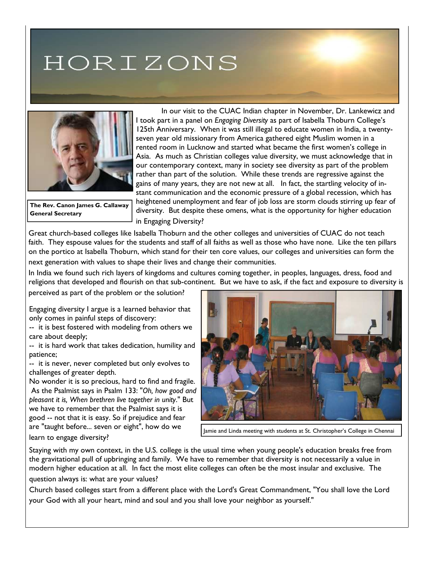# HORIZONS



**The Rev. Canon James G. Callaway General Secretary** 

In our visit to the CUAC Indian chapter in November, Dr. Lankewicz and I took part in a panel on *Engaging Diversity* as part of Isabella Thoburn College's 125th Anniversary. When it was still illegal to educate women in India, a twentyseven year old missionary from America gathered eight Muslim women in a rented room in Lucknow and started what became the first women's college in Asia. As much as Christian colleges value diversity, we must acknowledge that in our contemporary context, many in society see diversity as part of the problem rather than part of the solution. While these trends are regressive against the gains of many years, they are not new at all. In fact, the startling velocity of instant communication and the economic pressure of a global recession, which has heightened unemployment and fear of job loss are storm clouds stirring up fear of diversity. But despite these omens, what is the opportunity for higher education in Engaging Diversity?

Great church-based colleges like Isabella Thoburn and the other colleges and universities of CUAC do not teach faith. They espouse values for the students and staff of all faiths as well as those who have none. Like the ten pillars on the portico at Isabella Thoburn, which stand for their ten core values, our colleges and universities can form the next generation with values to shape their lives and change their communities.

In India we found such rich layers of kingdoms and cultures coming together, in peoples, languages, dress, food and religions that developed and flourish on that sub-continent. But we have to ask, if the fact and exposure to diversity is

perceived as part of the problem or the solution?

Engaging diversity I argue is a learned behavior that only comes in painful steps of discovery:

-- it is best fostered with modeling from others we care about deeply;

-- it is hard work that takes dedication, humility and patience;

-- it is never, never completed but only evolves to challenges of greater depth.

No wonder it is so precious, hard to find and fragile. As the Psalmist says in Psalm 133: "*Oh, how good and pleasant it is, When brethren live together in unity*." But we have to remember that the Psalmist says it is good -- not that it is easy. So if prejudice and fear are "taught before... seven or eight", how do we learn to engage diversity?



Jamie and Linda meeting with students at St. Christopher's College in Chennai

Staying with my own context, in the U.S. college is the usual time when young people's education breaks free from the gravitational pull of upbringing and family. We have to remember that diversity is not necessarily a value in modern higher education at all. In fact the most elite colleges can often be the most insular and exclusive. The question always is: what are your values?

Church based colleges start from a different place with the Lord's Great Commandment, "You shall love the Lord your God with all your heart, mind and soul and you shall love your neighbor as yourself."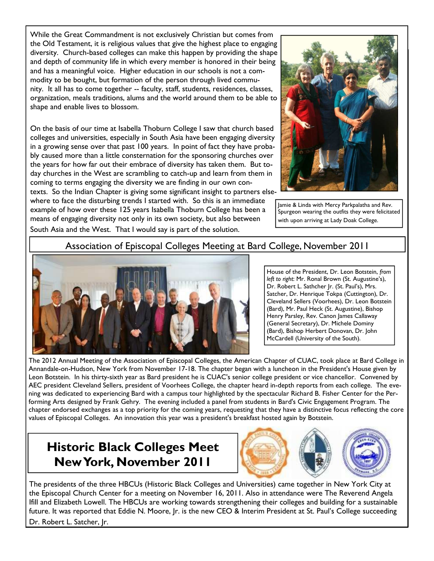While the Great Commandment is not exclusively Christian but comes from the Old Testament, it is religious values that give the highest place to engaging diversity. Church-based colleges can make this happen by providing the shape and depth of community life in which every member is honored in their being and has a meaningful voice. Higher education in our schools is not a commodity to be bought, but formation of the person through lived community. It all has to come together -- faculty, staff, students, residences, classes, organization, meals traditions, alums and the world around them to be able to shape and enable lives to blossom.

On the basis of our time at Isabella Thoburn College I saw that church based colleges and universities, especially in South Asia have been engaging diversity in a growing sense over that past 100 years. In point of fact they have probably caused more than a little consternation for the sponsoring churches over the years for how far out their embrace of diversity has taken them. But today churches in the West are scrambling to catch-up and learn from them in coming to terms engaging the diversity we are finding in our own con-

texts. So the Indian Chapter is giving some significant insight to partners elsewhere to face the disturbing trends I started with. So this is an immediate example of how over these 125 years Isabella Thoburn College has been a means of engaging diversity not only in its own society, but also between South Asia and the West. That I would say is part of the solution.



Jamie & Linda with Mercy Parkpalatha and Rev. Spurgeon wearing the outfits they were felicitated with upon arriving at Lady Doak College.

### Association of Episcopal Colleges Meeting at Bard College, November 2011



House of the President, Dr. Leon Botstein, *from left to right*: Mr. Ronal Brown (St. Augustine's), Dr. Robert L. Sathcher Jr. (St. Paul's), Mrs. Satcher, Dr. Henrique Tokpa (Cuttington), Dr. Cleveland Sellers (Voorhees), Dr. Leon Botstein (Bard), Mr. Paul Heck (St. Augustine), Bishop Henry Parsley, Rev. Canon James Callaway (General Secretary), Dr. Michele Dominy (Bard), Bishop Herbert Donovan, Dr. John McCardell (University of the South).

The 2012 Annual Meeting of the Association of Episcopal Colleges, the American Chapter of CUAC, took place at Bard College in Annandale-on-Hudson, New York from November 17-18. The chapter began with a luncheon in the President's House given by Leon Botstein. In his thirty-sixth year as Bard president he is CUAC's senior college president or vice chancellor. Convened by AEC president Cleveland Sellers, president of Voorhees College, the chapter heard in-depth reports from each college. The evening was dedicated to experiencing Bard with a campus tour highlighted by the spectacular Richard B. Fisher Center for the Performing Arts designed by Frank Gehry. The evening included a panel from students in Bard's Civic Engagement Program. The chapter endorsed exchanges as a top priority for the coming years, requesting that they have a distinctive focus reflecting the core values of Episcopal Colleges. An innovation this year was a president's breakfast hosted again by Botstein.

### **Historic Black Colleges Meet New York, November 2011**



The presidents of the three HBCUs (Historic Black Colleges and Universities) came together in New York City at the Episcopal Church Center for a meeting on November 16, 2011. Also in attendance were The Reverend Angela Ifill and Elizabeth Lowell. The HBCUs are working towards strengthening their colleges and building for a sustainable future. It was reported that Eddie N. Moore, Jr. is the new CEO & Interim President at St. Paul's College succeeding Dr. Robert L. Satcher, Jr.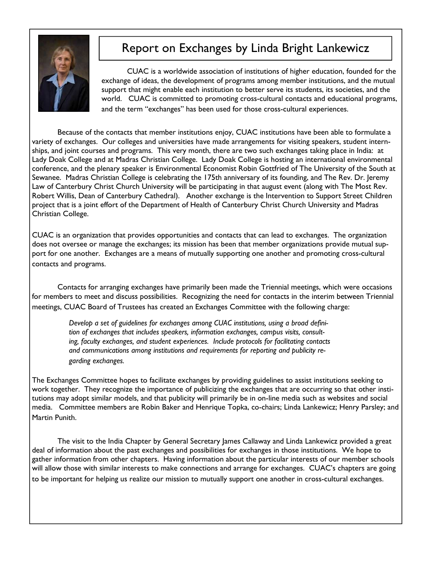

### Report on Exchanges by Linda Bright Lankewicz

CUAC is a worldwide association of institutions of higher education, founded for the exchange of ideas, the development of programs among member institutions, and the mutual support that might enable each institution to better serve its students, its societies, and the world. CUAC is committed to promoting cross-cultural contacts and educational programs, and the term "exchanges" has been used for those cross-cultural experiences.

 Because of the contacts that member institutions enjoy, CUAC institutions have been able to formulate a variety of exchanges. Our colleges and universities have made arrangements for visiting speakers, student internships, and joint courses and programs. This very month, there are two such exchanges taking place in India: at Lady Doak College and at Madras Christian College. Lady Doak College is hosting an international environmental conference, and the plenary speaker is Environmental Economist Robin Gottfried of The University of the South at Sewanee. Madras Christian College is celebrating the 175th anniversary of its founding, and The Rev. Dr. Jeremy Law of Canterbury Christ Church University will be participating in that august event (along with The Most Rev. Robert Willis, Dean of Canterbury Cathedral). Another exchange is the Intervention to Support Street Children project that is a joint effort of the Department of Health of Canterbury Christ Church University and Madras Christian College.

CUAC is an organization that provides opportunities and contacts that can lead to exchanges. The organization does not oversee or manage the exchanges; its mission has been that member organizations provide mutual support for one another. Exchanges are a means of mutually supporting one another and promoting cross-cultural contacts and programs.

 Contacts for arranging exchanges have primarily been made the Triennial meetings, which were occasions for members to meet and discuss possibilities. Recognizing the need for contacts in the interim between Triennial meetings, CUAC Board of Trustees has created an Exchanges Committee with the following charge:

*Develop a set of guidelines for exchanges among CUAC institutions, using a broad definition of exchanges that includes speakers, information exchanges, campus visits, consulting, faculty exchanges, and student experiences. Include protocols for facilitating contacts and communications among institutions and requirements for reporting and publicity regarding exchanges.* 

The Exchanges Committee hopes to facilitate exchanges by providing guidelines to assist institutions seeking to work together. They recognize the importance of publicizing the exchanges that are occurring so that other institutions may adopt similar models, and that publicity will primarily be in on-line media such as websites and social media. Committee members are Robin Baker and Henrique Topka, co-chairs; Linda Lankewicz; Henry Parsley; and Martin Punith.

The visit to the India Chapter by General Secretary James Callaway and Linda Lankewicz provided a great deal of information about the past exchanges and possibilities for exchanges in those institutions. We hope to gather information from other chapters. Having information about the particular interests of our member schools will allow those with similar interests to make connections and arrange for exchanges. CUAC's chapters are going to be important for helping us realize our mission to mutually support one another in cross-cultural exchanges.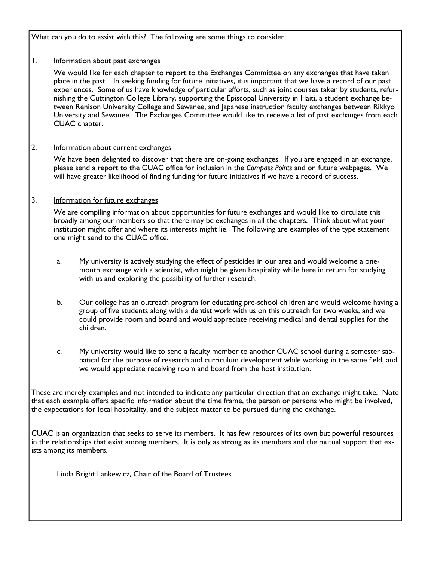What can you do to assist with this? The following are some things to consider.

#### 1. Information about past exchanges

 We would like for each chapter to report to the Exchanges Committee on any exchanges that have taken place in the past. In seeking funding for future initiatives, it is important that we have a record of our past experiences. Some of us have knowledge of particular efforts, such as joint courses taken by students, refurnishing the Cuttington College Library, supporting the Episcopal University in Haiti, a student exchange between Renison University College and Sewanee, and Japanese instruction faculty exchanges between Rikkyo University and Sewanee. The Exchanges Committee would like to receive a list of past exchanges from each CUAC chapter.

#### 2. Information about current exchanges

 We have been delighted to discover that there are on-going exchanges. If you are engaged in an exchange, please send a report to the CUAC office for inclusion in the *Compass Points* and on future webpages. We will have greater likelihood of finding funding for future initiatives if we have a record of success.

#### 3. Information for future exchanges

 We are compiling information about opportunities for future exchanges and would like to circulate this broadly among our members so that there may be exchanges in all the chapters. Think about what your institution might offer and where its interests might lie. The following are examples of the type statement one might send to the CUAC office.

- a. My university is actively studying the effect of pesticides in our area and would welcome a onemonth exchange with a scientist, who might be given hospitality while here in return for studying with us and exploring the possibility of further research.
- b. Our college has an outreach program for educating pre-school children and would welcome having a group of five students along with a dentist work with us on this outreach for two weeks, and we could provide room and board and would appreciate receiving medical and dental supplies for the children.
- c. My university would like to send a faculty member to another CUAC school during a semester sabbatical for the purpose of research and curriculum development while working in the same field, and we would appreciate receiving room and board from the host institution.

These are merely examples and not intended to indicate any particular direction that an exchange might take. Note that each example offers specific information about the time frame, the person or persons who might be involved, the expectations for local hospitality, and the subject matter to be pursued during the exchange.

CUAC is an organization that seeks to serve its members. It has few resources of its own but powerful resources in the relationships that exist among members. It is only as strong as its members and the mutual support that exists among its members.

Linda Bright Lankewicz, Chair of the Board of Trustees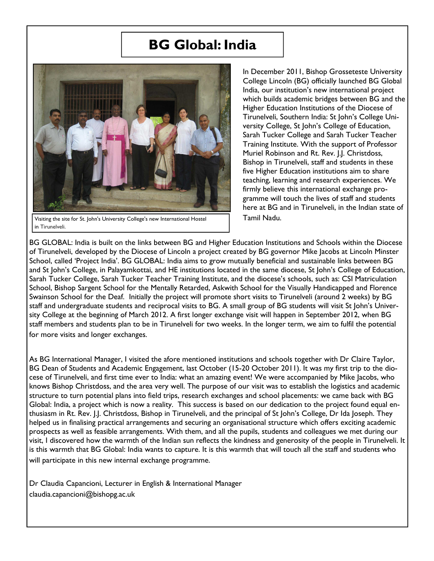## **BG Global: India**



Visiting the site for St. John's University College's new International Hostel in Tirunelveli.

In December 2011, Bishop Grosseteste University College Lincoln (BG) officially launched BG Global India, our institution's new international project which builds academic bridges between BG and the Higher Education Institutions of the Diocese of Tirunelveli, Southern India: St John's College University College, St John's College of Education, Sarah Tucker College and Sarah Tucker Teacher Training Institute. With the support of Professor Muriel Robinson and Rt. Rev. J.J. Christdoss, Bishop in Tirunelveli, staff and students in these five Higher Education institutions aim to share teaching, learning and research experiences. We firmly believe this international exchange programme will touch the lives of staff and students here at BG and in Tirunelveli, in the Indian state of Tamil Nadu.

BG GLOBAL: India is built on the links between BG and Higher Education Institutions and Schools within the Diocese of Tirunelveli, developed by the Diocese of Lincoln a project created by BG governor Mike Jacobs at Lincoln Minster School, called 'Project India'. BG GLOBAL: India aims to grow mutually beneficial and sustainable links between BG and St John's College, in Palayamkottai, and HE institutions located in the same diocese, St John's College of Education, Sarah Tucker College, Sarah Tucker Teacher Training Institute, and the diocese's schools, such as: CSI Matriculation School, Bishop Sargent School for the Mentally Retarded, Askwith School for the Visually Handicapped and Florence Swainson School for the Deaf. Initially the project will promote short visits to Tirunelveli (around 2 weeks) by BG staff and undergraduate students and reciprocal visits to BG. A small group of BG students will visit St John's University College at the beginning of March 2012. A first longer exchange visit will happen in September 2012, when BG staff members and students plan to be in Tirunelveli for two weeks. In the longer term, we aim to fulfil the potential for more visits and longer exchanges.

As BG International Manager, I visited the afore mentioned institutions and schools together with Dr Claire Taylor, BG Dean of Students and Academic Engagement, last October (15-20 October 2011). It was my first trip to the diocese of Tirunelveli, and first time ever to India: what an amazing event! We were accompanied by Mike Jacobs, who knows Bishop Christdoss, and the area very well. The purpose of our visit was to establish the logistics and academic structure to turn potential plans into field trips, research exchanges and school placements: we came back with BG Global: India, a project which is now a reality. This success is based on our dedication to the project found equal enthusiasm in Rt. Rev. J.J. Christdoss, Bishop in Tirunelveli, and the principal of St John's College, Dr Ida Joseph. They helped us in finalising practical arrangements and securing an organisational structure which offers exciting academic prospects as well as feasible arrangements. With them, and all the pupils, students and colleagues we met during our visit, I discovered how the warmth of the Indian sun reflects the kindness and generosity of the people in Tirunelveli. It is this warmth that BG Global: India wants to capture. It is this warmth that will touch all the staff and students who will participate in this new internal exchange programme.

Dr Claudia Capancioni, Lecturer in English & International Manager claudia.capancioni@bishopg.ac.uk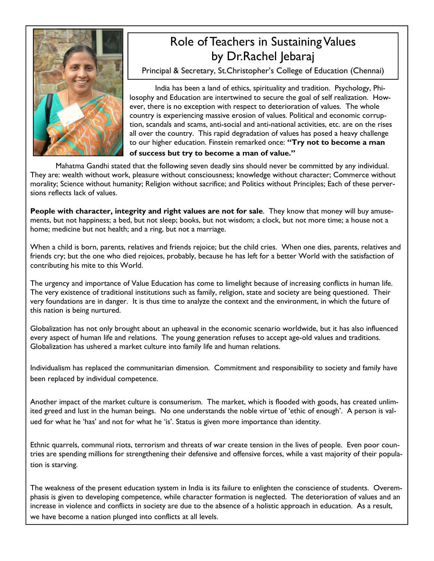

### Role of Teachers in Sustaining Values by Dr.Rachel Jebaraj

Principal & Secretary, St.Christopher's College of Education (Chennai)

 India has been a land of ethics, spirituality and tradition. Psychology, Philosophy and Education are intertwined to secure the goal of self realization. However, there is no exception with respect to deterioration of values. The whole country is experiencing massive erosion of values. Political and economic corruption, scandals and scams, anti-social and anti-national activities, etc. are on the rises all over the country. This rapid degradation of values has posed a heavy challenge to our higher education. Finstein remarked once: **"Try not to become a man of success but try to become a man of value."** 

 Mahatma Gandhi stated that the following seven deadly sins should never be committed by any individual. They are: wealth without work, pleasure without consciousness; knowledge without character; Commerce without morality; Science without humanity; Religion without sacrifice; and Politics without Principles; Each of these perversions reflects lack of values.

**People with character, integrity and right values are not for sale**. They know that money will buy amusements, but not happiness; a bed, but not sleep; books, but not wisdom; a clock, but not more time; a house not a home; medicine but not health; and a ring, but not a marriage.

When a child is born, parents, relatives and friends rejoice; but the child cries. When one dies, parents, relatives and friends cry; but the one who died rejoices, probably, because he has left for a better World with the satisfaction of contributing his mite to this World.

The urgency and importance of Value Education has come to limelight because of increasing conflicts in human life. The very existence of traditional institutions such as family, religion, state and society are being questioned. Their very foundations are in danger. It is thus time to analyze the context and the environment, in which the future of this nation is being nurtured.

Globalization has not only brought about an upheaval in the economic scenario worldwide, but it has also influenced every aspect of human life and relations. The young generation refuses to accept age-old values and traditions. Globalization has ushered a market culture into family life and human relations.

Individualism has replaced the communitarian dimension. Commitment and responsibility to society and family have been replaced by individual competence.

Another impact of the market culture is consumerism. The market, which is flooded with goods, has created unlimited greed and lust in the human beings. No one understands the noble virtue of 'ethic of enough'. A person is valued for what he 'has' and not for what he 'is'. Status is given more importance than identity.

Ethnic quarrels, communal riots, terrorism and threats of war create tension in the lives of people. Even poor countries are spending millions for strengthening their defensive and offensive forces, while a vast majority of their population is starving.

The weakness of the present education system in India is its failure to enlighten the conscience of students. Overemphasis is given to developing competence, while character formation is neglected. The deterioration of values and an increase in violence and conflicts in society are due to the absence of a holistic approach in education. As a result, we have become a nation plunged into conflicts at all levels.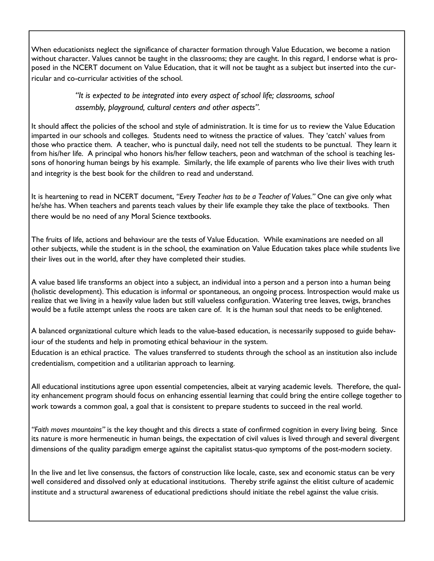When educationists neglect the significance of character formation through Value Education, we become a nation without character. Values cannot be taught in the classrooms; they are caught. In this regard, I endorse what is proposed in the NCERT document on Value Education, that it will not be taught as a subject but inserted into the curricular and co-curricular activities of the school.

> *"It is expected to be integrated into every aspect of school life; classrooms, school assembly, playground, cultural centers and other aspects".*

It should affect the policies of the school and style of administration. It is time for us to review the Value Education imparted in our schools and colleges. Students need to witness the practice of values. They 'catch' values from those who practice them. A teacher, who is punctual daily, need not tell the students to be punctual. They learn it from his/her life. A principal who honors his/her fellow teachers, peon and watchman of the school is teaching lessons of honoring human beings by his example. Similarly, the life example of parents who live their lives with truth and integrity is the best book for the children to read and understand.

It is heartening to read in NCERT document, *"Every Teacher has to be a Teacher of Values."* One can give only what he/she has. When teachers and parents teach values by their life example they take the place of textbooks. Then there would be no need of any Moral Science textbooks.

The fruits of life, actions and behaviour are the tests of Value Education. While examinations are needed on all other subjects, while the student is in the school, the examination on Value Education takes place while students live their lives out in the world, after they have completed their studies.

A value based life transforms an object into a subject, an individual into a person and a person into a human being (holistic development). This education is informal or spontaneous, an ongoing process. Introspection would make us realize that we living in a heavily value laden but still valueless configuration. Watering tree leaves, twigs, branches would be a futile attempt unless the roots are taken care of. It is the human soul that needs to be enlightened.

A balanced organizational culture which leads to the value-based education, is necessarily supposed to guide behaviour of the students and help in promoting ethical behaviour in the system.

Education is an ethical practice. The values transferred to students through the school as an institution also include credentialism, competition and a utilitarian approach to learning.

All educational institutions agree upon essential competencies, albeit at varying academic levels. Therefore, the quality enhancement program should focus on enhancing essential learning that could bring the entire college together to work towards a common goal, a goal that is consistent to prepare students to succeed in the real world.

*"Faith moves mountains"* is the key thought and this directs a state of confirmed cognition in every living being. Since its nature is more hermeneutic in human beings, the expectation of civil values is lived through and several divergent dimensions of the quality paradigm emerge against the capitalist status-quo symptoms of the post-modern society.

In the live and let live consensus, the factors of construction like locale, caste, sex and economic status can be very well considered and dissolved only at educational institutions. Thereby strife against the elitist culture of academic institute and a structural awareness of educational predictions should initiate the rebel against the value crisis.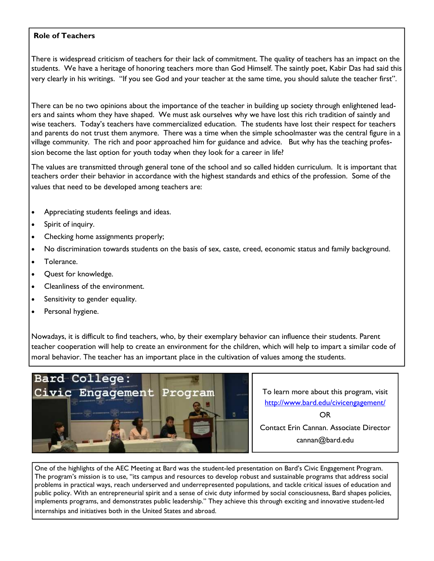#### **Role of Teachers**

There is widespread criticism of teachers for their lack of commitment. The quality of teachers has an impact on the students. We have a heritage of honoring teachers more than God Himself. The saintly poet, Kabir Das had said this very clearly in his writings. "If you see God and your teacher at the same time, you should salute the teacher first".

There can be no two opinions about the importance of the teacher in building up society through enlightened leaders and saints whom they have shaped. We must ask ourselves why we have lost this rich tradition of saintly and wise teachers. Today's teachers have commercialized education. The students have lost their respect for teachers and parents do not trust them anymore. There was a time when the simple schoolmaster was the central figure in a village community. The rich and poor approached him for guidance and advice. But why has the teaching profession become the last option for youth today when they look for a career in life?

The values are transmitted through general tone of the school and so called hidden curriculum. It is important that teachers order their behavior in accordance with the highest standards and ethics of the profession. Some of the values that need to be developed among teachers are:

- Appreciating students feelings and ideas.
- Spirit of inquiry.
- Checking home assignments properly;
- No discrimination towards students on the basis of sex, caste, creed, economic status and family background.
- Tolerance.
- Quest for knowledge.
- Cleanliness of the environment.
- Sensitivity to gender equality.
- Personal hygiene.

Nowadays, it is difficult to find teachers, who, by their exemplary behavior can influence their students. Parent teacher cooperation will help to create an environment for the children, which will help to impart a similar code of moral behavior. The teacher has an important place in the cultivation of values among the students.



To learn more about this program, visit http://www.bard.edu/civicengagement/ OR Contact Erin Cannan. Associate Director cannan@bard.edu

One of the highlights of the AEC Meeting at Bard was the student-led presentation on Bard's Civic Engagement Program. The program's mission is to use, "its campus and resources to develop robust and sustainable programs that address social problems in practical ways, reach underserved and underrepresented populations, and tackle critical issues of education and public policy. With an entrepreneurial spirit and a sense of civic duty informed by social consciousness, Bard shapes policies, implements programs, and demonstrates public leadership." They achieve this through exciting and innovative student-led internships and initiatives both in the United States and abroad.